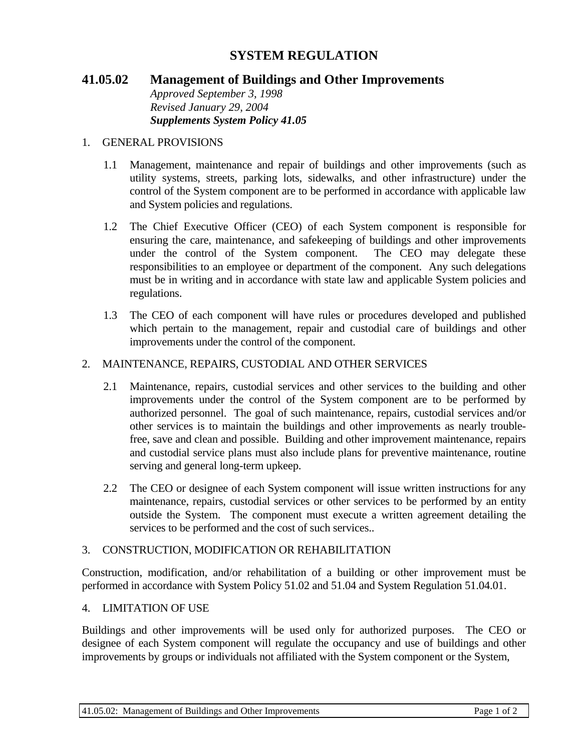# **SYSTEM REGULATION**

# **41.05.02 Management of Buildings and Other Improvements**

*Approved September 3, 1998 Revised January 29, 2004 Supplements System Policy 41.05*

### 1. GENERAL PROVISIONS

- 1.1 Management, maintenance and repair of buildings and other improvements (such as utility systems, streets, parking lots, sidewalks, and other infrastructure) under the control of the System component are to be performed in accordance with applicable law and System policies and regulations.
- 1.2 The Chief Executive Officer (CEO) of each System component is responsible for ensuring the care, maintenance, and safekeeping of buildings and other improvements under the control of the System component. The CEO may delegate these responsibilities to an employee or department of the component. Any such delegations must be in writing and in accordance with state law and applicable System policies and regulations.
- 1.3 The CEO of each component will have rules or procedures developed and published which pertain to the management, repair and custodial care of buildings and other improvements under the control of the component.

#### 2. MAINTENANCE, REPAIRS, CUSTODIAL AND OTHER SERVICES

- 2.1 Maintenance, repairs, custodial services and other services to the building and other improvements under the control of the System component are to be performed by authorized personnel. The goal of such maintenance, repairs, custodial services and/or other services is to maintain the buildings and other improvements as nearly troublefree, save and clean and possible. Building and other improvement maintenance, repairs and custodial service plans must also include plans for preventive maintenance, routine serving and general long-term upkeep.
- 2.2 The CEO or designee of each System component will issue written instructions for any maintenance, repairs, custodial services or other services to be performed by an entity outside the System. The component must execute a written agreement detailing the services to be performed and the cost of such services..

#### 3. CONSTRUCTION, MODIFICATION OR REHABILITATION

Construction, modification, and/or rehabilitation of a building or other improvement must be performed in accordance with System Policy 51.02 and 51.04 and System Regulation 51.04.01.

### 4. LIMITATION OF USE

Buildings and other improvements will be used only for authorized purposes. The CEO or designee of each System component will regulate the occupancy and use of buildings and other improvements by groups or individuals not affiliated with the System component or the System,